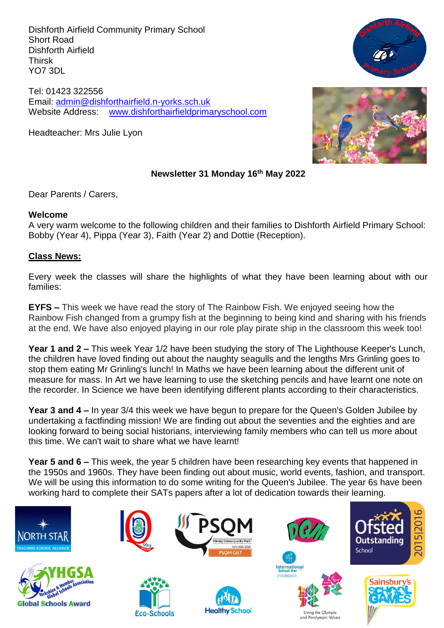Dishforth Airfield Community Primary School Short Road Dishforth Airfield Thirsk YO7 3DL

Tel: 01423 322556 Email: [admin@dishforthairfield.n-yorks.sch.uk](mailto:admin@dishforthairfield.n-yorks.sch.uk) Website Address: [www.dishforthairfieldprimaryschool.com](http://www.dishforthairfieldprimaryschool.com/)

Headteacher: Mrs Julie Lyon



### **Newsletter 31 Monday 16th May 2022**

Dear Parents / Carers,

#### **Welcome**

A very warm welcome to the following children and their families to Dishforth Airfield Primary School: Bobby (Year 4), Pippa (Year 3), Faith (Year 2) and Dottie (Reception).

### **Class News:**

Every week the classes will share the highlights of what they have been learning about with our families:

**EYFS –** This week we have read the story of The Rainbow Fish. We enjoyed seeing how the Rainbow Fish changed from a grumpy fish at the beginning to being kind and sharing with his friends at the end. We have also enjoyed playing in our role play pirate ship in the classroom this week too!

**Year 1 and 2 –** This week Year 1/2 have been studying the story of The Lighthouse Keeper's Lunch, the children have loved finding out about the naughty seagulls and the lengths Mrs Grinling goes to stop them eating Mr Grinling's lunch! In Maths we have been learning about the different unit of measure for mass. In Art we have learning to use the sketching pencils and have learnt one note on the recorder. In Science we have been identifying different plants according to their characteristics.

**Year 3 and 4 –** In year 3/4 this week we have begun to prepare for the Queen's Golden Jubilee by undertaking a factfinding mission! We are finding out about the seventies and the eighties and are looking forward to being social historians, interviewing family members who can tell us more about this time. We can't wait to share what we have learnt!

**Year 5 and 6 –** This week, the year 5 children have been researching key events that happened in the 1950s and 1960s. They have been finding out about music, world events, fashion, and transport. We will be using this information to do some writing for the Queen's Jubilee. The year 6s have been working hard to complete their SATs papers after a lot of dedication towards their learning.

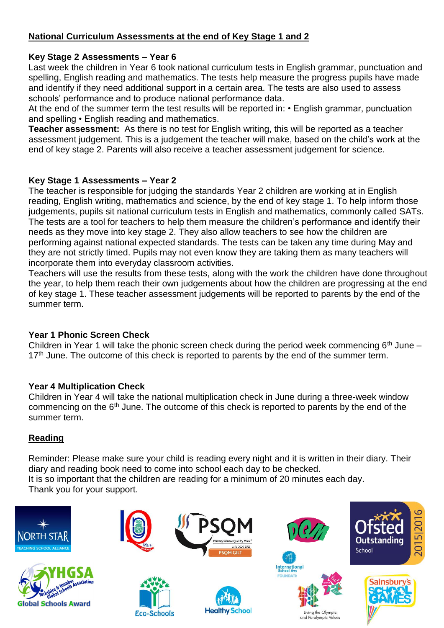## **National Curriculum Assessments at the end of Key Stage 1 and 2**

### **Key Stage 2 Assessments – Year 6**

Last week the children in Year 6 took national curriculum tests in English grammar, punctuation and spelling, English reading and mathematics. The tests help measure the progress pupils have made and identify if they need additional support in a certain area. The tests are also used to assess schools' performance and to produce national performance data.

At the end of the summer term the test results will be reported in: • English grammar, punctuation and spelling • English reading and mathematics.

**Teacher assessment:** As there is no test for English writing, this will be reported as a teacher assessment judgement. This is a judgement the teacher will make, based on the child's work at the end of key stage 2. Parents will also receive a teacher assessment judgement for science.

### **Key Stage 1 Assessments – Year 2**

The teacher is responsible for judging the standards Year 2 children are working at in English reading, English writing, mathematics and science, by the end of key stage 1. To help inform those judgements, pupils sit national curriculum tests in English and mathematics, commonly called SATs. The tests are a tool for teachers to help them measure the children's performance and identify their needs as they move into key stage 2. They also allow teachers to see how the children are performing against national expected standards. The tests can be taken any time during May and they are not strictly timed. Pupils may not even know they are taking them as many teachers will incorporate them into everyday classroom activities.

Teachers will use the results from these tests, along with the work the children have done throughout the year, to help them reach their own judgements about how the children are progressing at the end of key stage 1. These teacher assessment judgements will be reported to parents by the end of the summer term.

## **Year 1 Phonic Screen Check**

Children in Year 1 will take the phonic screen check during the period week commencing  $6<sup>th</sup>$  June – 17<sup>th</sup> June. The outcome of this check is reported to parents by the end of the summer term.

## **Year 4 Multiplication Check**

Children in Year 4 will take the national multiplication check in June during a three-week window commencing on the 6<sup>th</sup> June. The outcome of this check is reported to parents by the end of the summer term.

## **Reading**

Reminder: Please make sure your child is reading every night and it is written in their diary. Their diary and reading book need to come into school each day to be checked. It is so important that the children are reading for a minimum of 20 minutes each day. Thank you for your support.

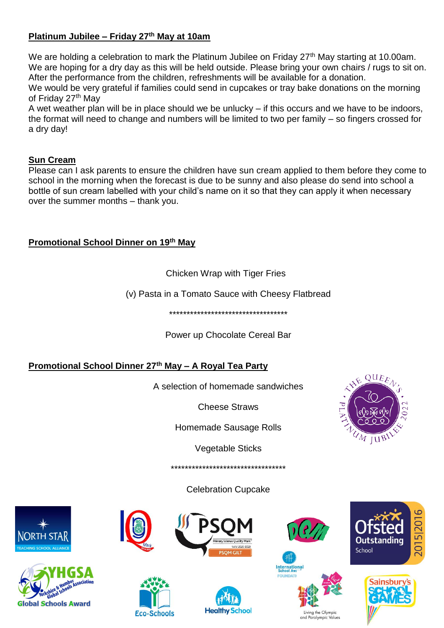## **Platinum Jubilee – Friday 27th May at 10am**

We are holding a celebration to mark the Platinum Jubilee on Friday 27<sup>th</sup> May starting at 10.00am. We are hoping for a dry day as this will be held outside. Please bring your own chairs / rugs to sit on. After the performance from the children, refreshments will be available for a donation.

We would be very grateful if families could send in cupcakes or tray bake donations on the morning of Friday 27<sup>th</sup> May

A wet weather plan will be in place should we be unlucky – if this occurs and we have to be indoors, the format will need to change and numbers will be limited to two per family – so fingers crossed for a dry day!

## **Sun Cream**

Please can I ask parents to ensure the children have sun cream applied to them before they come to school in the morning when the forecast is due to be sunny and also please do send into school a bottle of sun cream labelled with your child's name on it so that they can apply it when necessary over the summer months – thank you.

## **Promotional School Dinner on 19th May**

Chicken Wrap with Tiger Fries

(v) Pasta in a Tomato Sauce with Cheesy Flatbread

\*\*\*\*\*\*\*\*\*\*\*\*\*\*\*\*\*\*\*\*\*\*\*\*\*\*\*\*\*\*\*\*\*\*

Power up Chocolate Cereal Bar

# **Promotional School Dinner 27th May – A Royal Tea Party**

A selection of homemade sandwiches

Cheese Straws

Homemade Sausage Rolls

Vegetable Sticks

\*\*\*\*\*\*\*\*\*\*\*\*\*\*\*\*\*\*\*\*\*\*\*\*\*\*\*\*\*\*\*\*\*

Celebration Cupcake







**Eco-Schools** 









and Paralympic





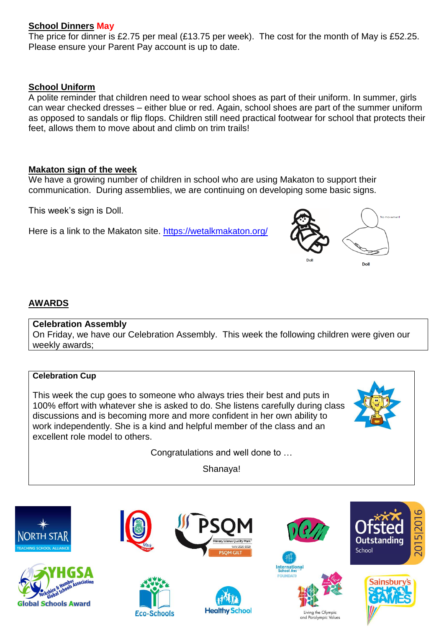### **School Dinners May**

The price for dinner is £2.75 per meal (£13.75 per week). The cost for the month of May is £52.25. Please ensure your Parent Pay account is up to date.

#### **School Uniform**

A polite reminder that children need to wear school shoes as part of their uniform. In summer, girls can wear checked dresses – either blue or red. Again, school shoes are part of the summer uniform as opposed to sandals or flip flops. Children still need practical footwear for school that protects their feet, allows them to move about and climb on trim trails!

#### **Makaton sign of the week**

We have a growing number of children in school who are using Makaton to support their communication. During assemblies, we are continuing on developing some basic signs.

This week's sign is Doll.

Here is a link to the Makaton site. https://wetalkmakaton.org/



### **AWARDS**

#### **Celebration Assembly**

On Friday, we have our Celebration Assembly. This week the following children were given our weekly awards;

#### **Celebration Cup**

This week the cup goes to someone who always tries their best and puts in 100% effort with whatever she is asked to do. She listens carefully during class discussions and is becoming more and more confident in her own ability to work independently. She is a kind and helpful member of the class and an excellent role model to others.

Congratulations and well done to …

Shanaya!

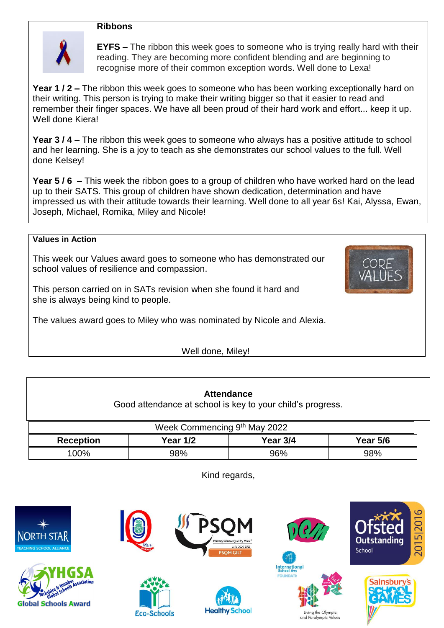#### **Ribbons**



**EYFS** – The ribbon this week goes to someone who is trying really hard with their reading. They are becoming more confident blending and are beginning to recognise more of their common exception words. Well done to Lexa!

**Year 1 / 2 –** The ribbon this week goes to someone who has been working exceptionally hard on their writing. This person is trying to make their writing bigger so that it easier to read and remember their finger spaces. We have all been proud of their hard work and effort... keep it up. Well done Kiera!

**Year 3 / 4** – The ribbon this week goes to someone who always has a positive attitude to school and her learning. She is a joy to teach as she demonstrates our school values to the full. Well done Kelsey!

**Year 5 / 6** – This week the ribbon goes to a group of children who have worked hard on the lead up to their SATS. This group of children have shown dedication, determination and have impressed us with their attitude towards their learning. Well done to all year 6s! Kai, Alyssa, Ewan, Joseph, Michael, Romika, Miley and Nicole!

#### **Values in Action**

This week our Values award goes to someone who has demonstrated our school values of resilience and compassion.

This person carried on in SATs revision when she found it hard and she is always being kind to people.

The values award goes to Miley who was nominated by Nicole and Alexia.

Well done, Miley!

### **Attendance**

Good attendance at school is key to your child's progress.

| Week Commencing 9th May 2022 |          |          |                 |  |  |  |
|------------------------------|----------|----------|-----------------|--|--|--|
| <b>Reception</b>             | Year 1/2 | Year 3/4 | <b>Year 5/6</b> |  |  |  |
| 100%                         | 98%      | 96%      | 98%             |  |  |  |

Kind regards,